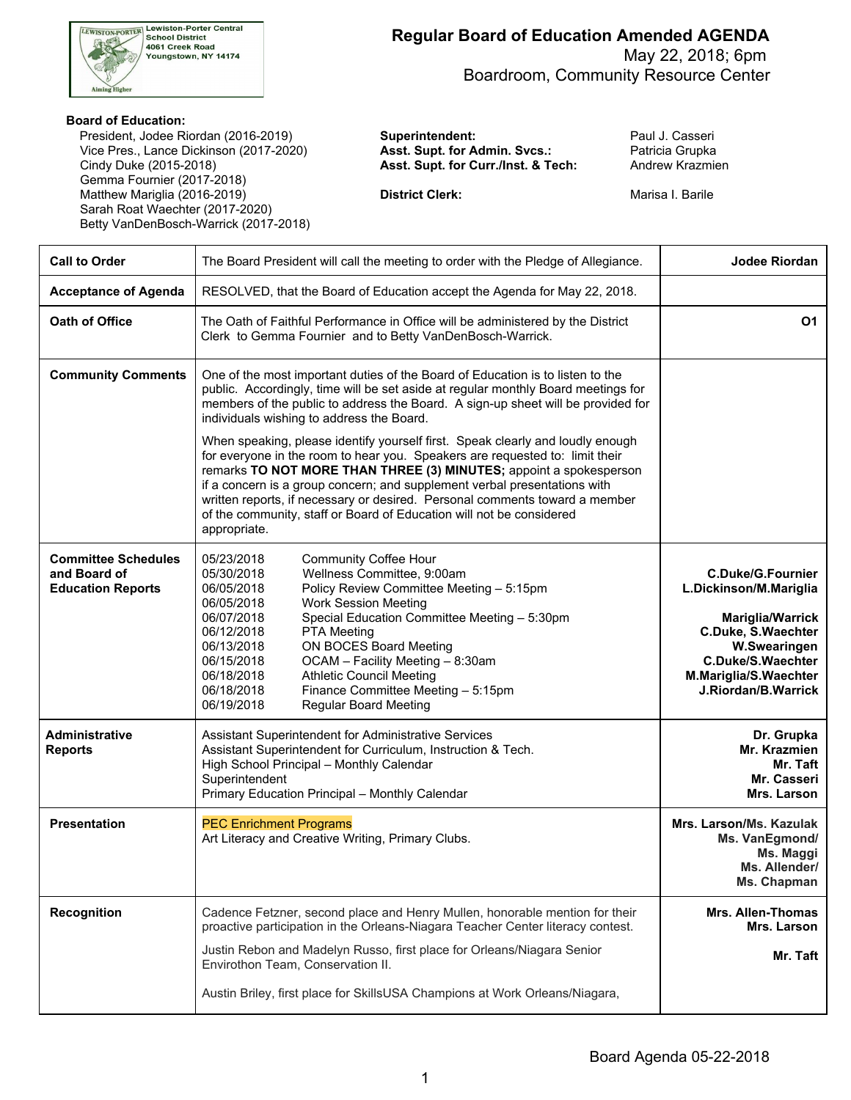

 May 22, 2018; 6pm Boardroom, Community Resource Center

#### **Board of Education:**

President, Jodee Riordan (2016-2019) **Superintendent:** President Paul J. Casseri Vice Pres., Lance Dickinson (2017-2020) **Asst. Supt. for Admin. Svcs.:** Patricia Grupka Cindy Duke (2015-2018) **Asst. Supt. for Curr./Inst. & Tech:** Andrew Krazmien Gemma Fournier (2017-2018) Matthew Mariglia (2016-2019) **District Clerk: District Clerk:** Marisa I. Barile Sarah Roat Waechter (2017-2020) Betty VanDenBosch-Warrick (2017-2018)

| <b>Call to Order</b>                                                   | The Board President will call the meeting to order with the Pledge of Allegiance.                                                                                                                                                                                                                                                                                                                                                                                                                                                                                                                                                                                                                        | <b>Jodee Riordan</b>                                                                                                                                                                     |
|------------------------------------------------------------------------|----------------------------------------------------------------------------------------------------------------------------------------------------------------------------------------------------------------------------------------------------------------------------------------------------------------------------------------------------------------------------------------------------------------------------------------------------------------------------------------------------------------------------------------------------------------------------------------------------------------------------------------------------------------------------------------------------------|------------------------------------------------------------------------------------------------------------------------------------------------------------------------------------------|
| <b>Acceptance of Agenda</b>                                            | RESOLVED, that the Board of Education accept the Agenda for May 22, 2018.                                                                                                                                                                                                                                                                                                                                                                                                                                                                                                                                                                                                                                |                                                                                                                                                                                          |
| Oath of Office                                                         | The Oath of Faithful Performance in Office will be administered by the District<br>Clerk to Gemma Fournier and to Betty VanDenBosch-Warrick.                                                                                                                                                                                                                                                                                                                                                                                                                                                                                                                                                             | <b>O1</b>                                                                                                                                                                                |
| <b>Community Comments</b>                                              | One of the most important duties of the Board of Education is to listen to the<br>public. Accordingly, time will be set aside at regular monthly Board meetings for<br>members of the public to address the Board. A sign-up sheet will be provided for<br>individuals wishing to address the Board.<br>When speaking, please identify yourself first. Speak clearly and loudly enough<br>for everyone in the room to hear you. Speakers are requested to: limit their<br>remarks TO NOT MORE THAN THREE (3) MINUTES; appoint a spokesperson<br>if a concern is a group concern; and supplement verbal presentations with<br>written reports, if necessary or desired. Personal comments toward a member |                                                                                                                                                                                          |
|                                                                        | of the community, staff or Board of Education will not be considered<br>appropriate.                                                                                                                                                                                                                                                                                                                                                                                                                                                                                                                                                                                                                     |                                                                                                                                                                                          |
| <b>Committee Schedules</b><br>and Board of<br><b>Education Reports</b> | 05/23/2018<br><b>Community Coffee Hour</b><br>Wellness Committee, 9:00am<br>05/30/2018<br>06/05/2018<br>Policy Review Committee Meeting - 5:15pm<br>06/05/2018<br><b>Work Session Meeting</b><br>06/07/2018<br>Special Education Committee Meeting - 5:30pm<br>06/12/2018<br>PTA Meeting<br>06/13/2018<br>ON BOCES Board Meeting<br>06/15/2018<br>OCAM - Facility Meeting - 8:30am<br><b>Athletic Council Meeting</b><br>06/18/2018<br>Finance Committee Meeting - 5:15pm<br>06/18/2018<br>06/19/2018<br><b>Regular Board Meeting</b>                                                                                                                                                                    | <b>C.Duke/G.Fournier</b><br>L.Dickinson/M.Mariglia<br><b>Mariglia/Warrick</b><br>C.Duke, S.Waechter<br>W.Swearingen<br>C.Duke/S.Waechter<br>M.Mariglia/S.Waechter<br>J.Riordan/B.Warrick |
| Administrative<br><b>Reports</b>                                       | Assistant Superintendent for Administrative Services<br>Assistant Superintendent for Curriculum, Instruction & Tech.<br>High School Principal - Monthly Calendar<br>Superintendent<br>Primary Education Principal - Monthly Calendar                                                                                                                                                                                                                                                                                                                                                                                                                                                                     | Dr. Grupka<br>Mr. Krazmien<br>Mr. Taft<br>Mr. Casseri<br>Mrs. Larson                                                                                                                     |
| <b>Presentation</b>                                                    | <b>PEC Enrichment Programs</b><br>Art Literacy and Creative Writing, Primary Clubs.                                                                                                                                                                                                                                                                                                                                                                                                                                                                                                                                                                                                                      | Mrs. Larson/Ms. Kazulak<br>Ms. VanEgmond/<br>Ms. Maggi<br>Ms. Allender/<br>Ms. Chapman                                                                                                   |
| <b>Recognition</b>                                                     | Cadence Fetzner, second place and Henry Mullen, honorable mention for their<br>proactive participation in the Orleans-Niagara Teacher Center literacy contest.                                                                                                                                                                                                                                                                                                                                                                                                                                                                                                                                           | <b>Mrs. Allen-Thomas</b><br>Mrs. Larson                                                                                                                                                  |
|                                                                        | Justin Rebon and Madelyn Russo, first place for Orleans/Niagara Senior<br>Envirothon Team, Conservation II.                                                                                                                                                                                                                                                                                                                                                                                                                                                                                                                                                                                              | Mr. Taft                                                                                                                                                                                 |
|                                                                        | Austin Briley, first place for SkillsUSA Champions at Work Orleans/Niagara,                                                                                                                                                                                                                                                                                                                                                                                                                                                                                                                                                                                                                              |                                                                                                                                                                                          |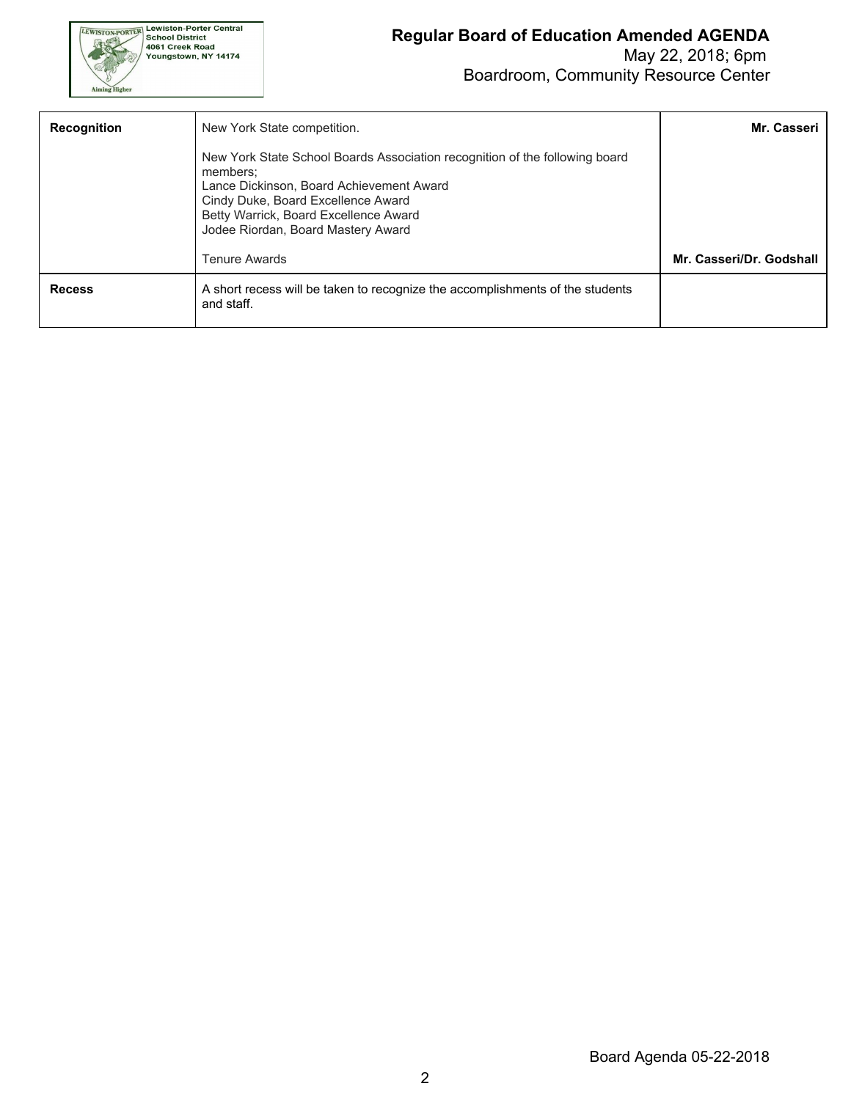

| <b>Recognition</b> | New York State competition.                                                                                                                                                                                                                              | Mr. Casseri              |
|--------------------|----------------------------------------------------------------------------------------------------------------------------------------------------------------------------------------------------------------------------------------------------------|--------------------------|
|                    | New York State School Boards Association recognition of the following board<br>members:<br>Lance Dickinson, Board Achievement Award<br>Cindy Duke, Board Excellence Award<br>Betty Warrick, Board Excellence Award<br>Jodee Riordan, Board Mastery Award |                          |
|                    | <b>Tenure Awards</b>                                                                                                                                                                                                                                     | Mr. Casseri/Dr. Godshall |
| <b>Recess</b>      | A short recess will be taken to recognize the accomplishments of the students<br>and staff.                                                                                                                                                              |                          |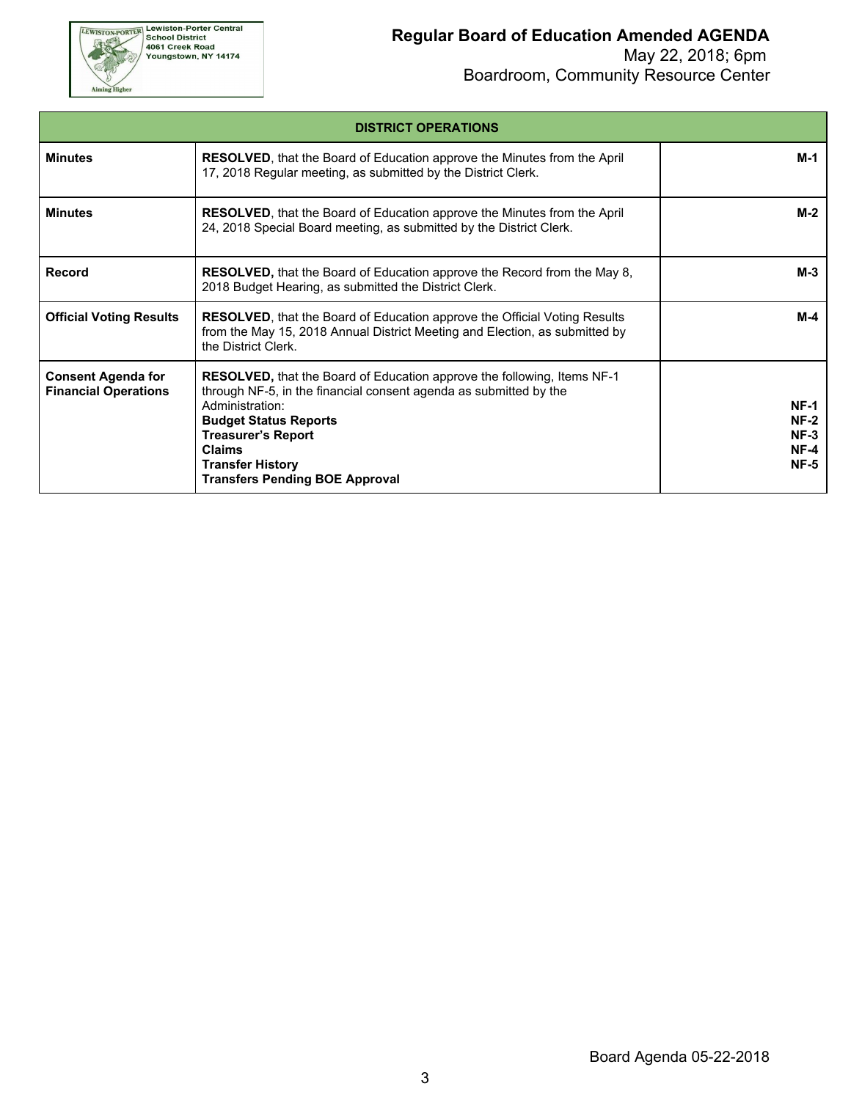

| <b>DISTRICT OPERATIONS</b>                               |                                                                                                                                                                                                                                                                                                                          |                                                     |  |  |  |  |
|----------------------------------------------------------|--------------------------------------------------------------------------------------------------------------------------------------------------------------------------------------------------------------------------------------------------------------------------------------------------------------------------|-----------------------------------------------------|--|--|--|--|
| <b>Minutes</b>                                           | <b>RESOLVED</b> , that the Board of Education approve the Minutes from the April<br>17, 2018 Regular meeting, as submitted by the District Clerk.                                                                                                                                                                        | M-1                                                 |  |  |  |  |
| <b>Minutes</b>                                           | RESOLVED, that the Board of Education approve the Minutes from the April<br>24, 2018 Special Board meeting, as submitted by the District Clerk.                                                                                                                                                                          | $M-2$                                               |  |  |  |  |
| Record                                                   | <b>RESOLVED,</b> that the Board of Education approve the Record from the May 8,<br>2018 Budget Hearing, as submitted the District Clerk.                                                                                                                                                                                 | M-3                                                 |  |  |  |  |
| <b>Official Voting Results</b>                           | <b>RESOLVED, that the Board of Education approve the Official Voting Results</b><br>from the May 15, 2018 Annual District Meeting and Election, as submitted by<br>the District Clerk.                                                                                                                                   | M-4                                                 |  |  |  |  |
| <b>Consent Agenda for</b><br><b>Financial Operations</b> | <b>RESOLVED, that the Board of Education approve the following, Items NF-1</b><br>through NF-5, in the financial consent agenda as submitted by the<br>Administration:<br><b>Budget Status Reports</b><br><b>Treasurer's Report</b><br><b>Claims</b><br><b>Transfer History</b><br><b>Transfers Pending BOE Approval</b> | $NF-1$<br>$NF-2$<br>$NF-3$<br>$NF-4$<br><b>NF-5</b> |  |  |  |  |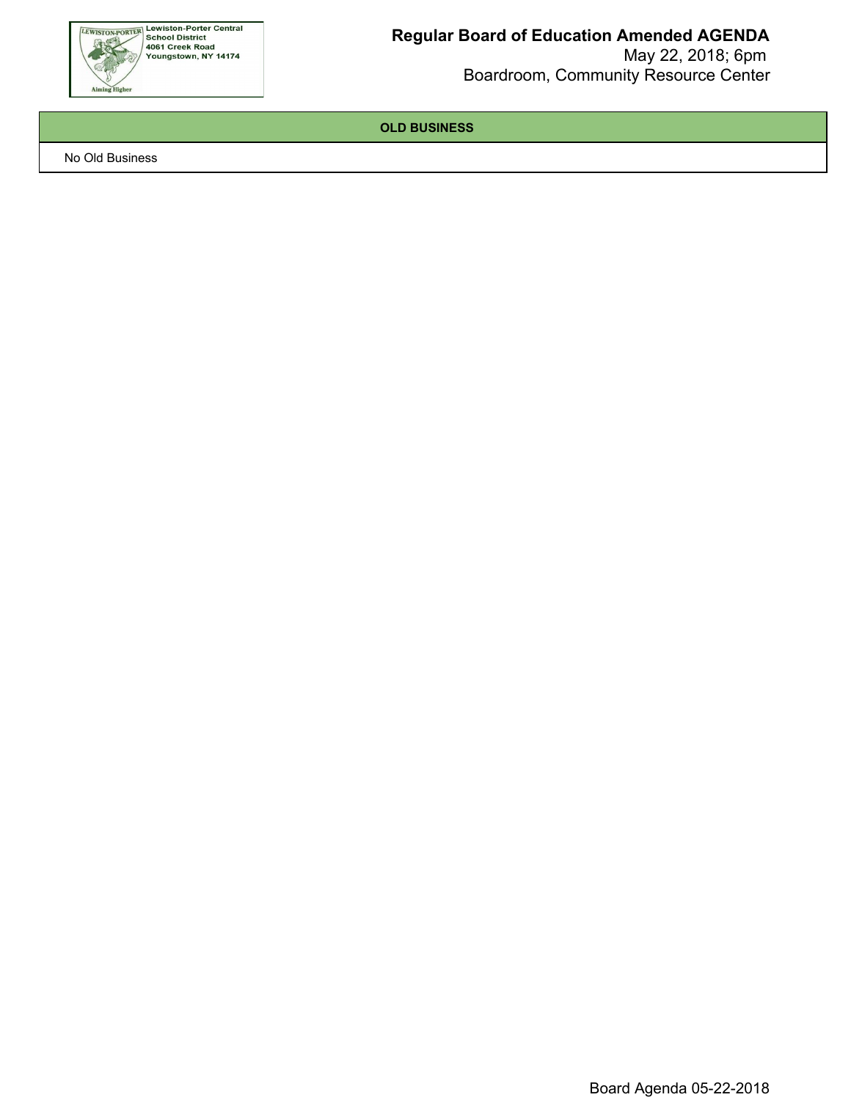

 May 22, 2018; 6pm Boardroom, Community Resource Center

**OLD BUSINESS**

No Old Business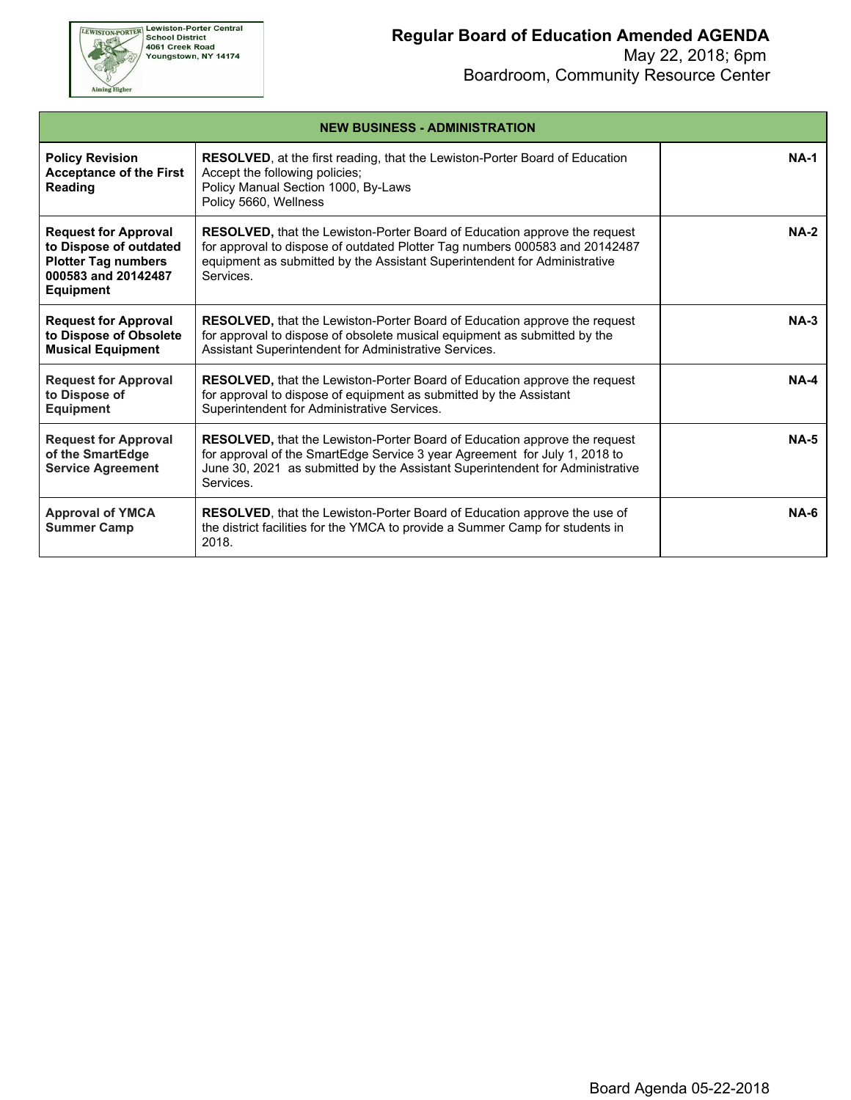

Aiming Higher

#### **Regular Board of Education Amended AGENDA**

| <b>NEW BUSINESS - ADMINISTRATION</b>                                                                                           |                                                                                                                                                                                                                                                           |        |  |  |  |  |
|--------------------------------------------------------------------------------------------------------------------------------|-----------------------------------------------------------------------------------------------------------------------------------------------------------------------------------------------------------------------------------------------------------|--------|--|--|--|--|
| <b>Policy Revision</b><br><b>Acceptance of the First</b><br><b>Reading</b>                                                     | <b>RESOLVED</b> , at the first reading, that the Lewiston-Porter Board of Education<br>Accept the following policies;<br>Policy Manual Section 1000, By-Laws<br>Policy 5660, Wellness                                                                     | $NA-1$ |  |  |  |  |
| <b>Request for Approval</b><br>to Dispose of outdated<br><b>Plotter Tag numbers</b><br>000583 and 20142487<br><b>Equipment</b> | <b>RESOLVED, that the Lewiston-Porter Board of Education approve the request</b><br>for approval to dispose of outdated Plotter Tag numbers 000583 and 20142487<br>equipment as submitted by the Assistant Superintendent for Administrative<br>Services. | $NA-2$ |  |  |  |  |
| <b>Request for Approval</b><br>to Dispose of Obsolete<br><b>Musical Equipment</b>                                              | <b>RESOLVED, that the Lewiston-Porter Board of Education approve the request</b><br>for approval to dispose of obsolete musical equipment as submitted by the<br>Assistant Superintendent for Administrative Services.                                    | $NA-3$ |  |  |  |  |
| <b>Request for Approval</b><br>to Dispose of<br><b>Equipment</b>                                                               | <b>RESOLVED, that the Lewiston-Porter Board of Education approve the request</b><br>for approval to dispose of equipment as submitted by the Assistant<br>Superintendent for Administrative Services.                                                     | $NA-4$ |  |  |  |  |
| <b>Request for Approval</b><br>of the SmartEdge<br><b>Service Agreement</b>                                                    | RESOLVED, that the Lewiston-Porter Board of Education approve the request<br>for approval of the SmartEdge Service 3 year Agreement for July 1, 2018 to<br>June 30, 2021 as submitted by the Assistant Superintendent for Administrative<br>Services.     | $NA-5$ |  |  |  |  |
| <b>Approval of YMCA</b><br><b>Summer Camp</b>                                                                                  | <b>RESOLVED</b> , that the Lewiston-Porter Board of Education approve the use of<br>the district facilities for the YMCA to provide a Summer Camp for students in<br>2018.                                                                                | $NA-6$ |  |  |  |  |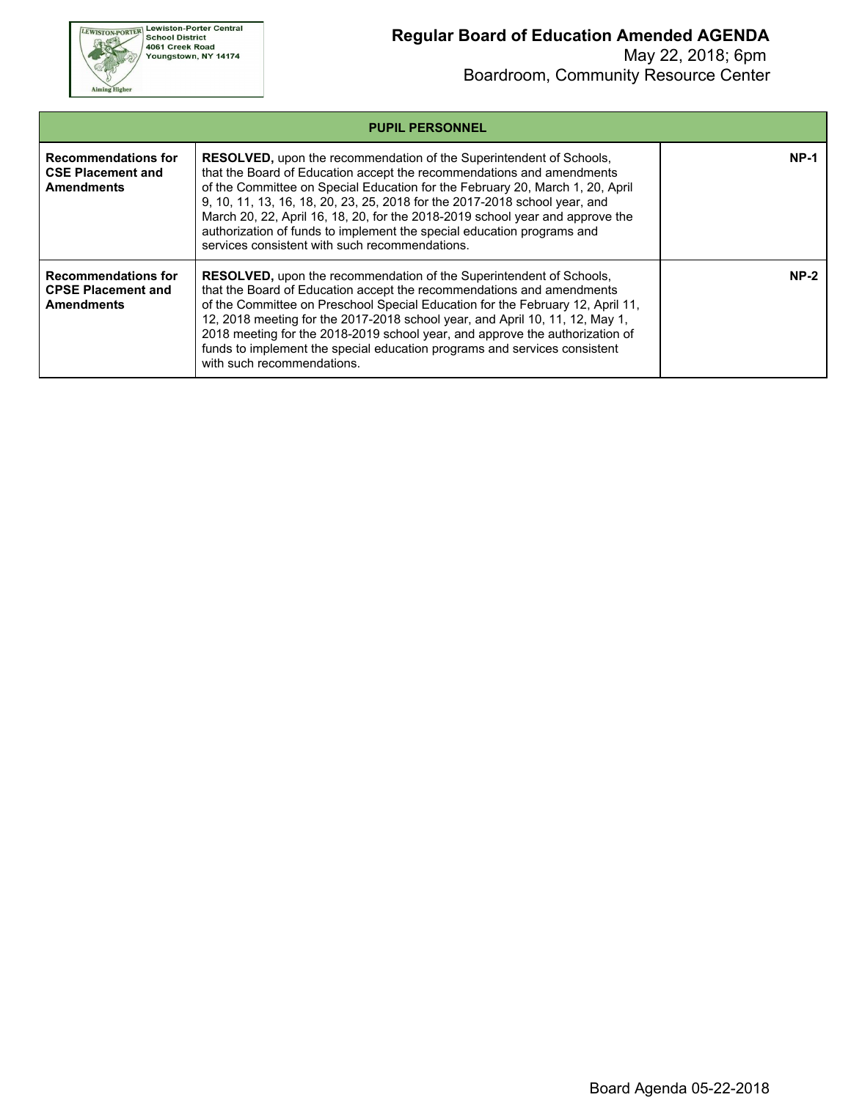

| <b>PUPIL PERSONNEL</b>                                                       |                                                                                                                                                                                                                                                                                                                                                                                                                                                                                                                                 |        |  |  |  |  |
|------------------------------------------------------------------------------|---------------------------------------------------------------------------------------------------------------------------------------------------------------------------------------------------------------------------------------------------------------------------------------------------------------------------------------------------------------------------------------------------------------------------------------------------------------------------------------------------------------------------------|--------|--|--|--|--|
| Recommendations for<br><b>CSE Placement and</b><br><b>Amendments</b>         | <b>RESOLVED, upon the recommendation of the Superintendent of Schools,</b><br>that the Board of Education accept the recommendations and amendments<br>of the Committee on Special Education for the February 20, March 1, 20, April<br>9, 10, 11, 13, 16, 18, 20, 23, 25, 2018 for the 2017-2018 school year, and<br>March 20, 22, April 16, 18, 20, for the 2018-2019 school year and approve the<br>authorization of funds to implement the special education programs and<br>services consistent with such recommendations. | NP-1   |  |  |  |  |
| <b>Recommendations for</b><br><b>CPSE Placement and</b><br><b>Amendments</b> | <b>RESOLVED, upon the recommendation of the Superintendent of Schools,</b><br>that the Board of Education accept the recommendations and amendments<br>of the Committee on Preschool Special Education for the February 12, April 11,<br>12, 2018 meeting for the 2017-2018 school year, and April 10, 11, 12, May 1,<br>2018 meeting for the 2018-2019 school year, and approve the authorization of<br>funds to implement the special education programs and services consistent<br>with such recommendations.                | $NP-2$ |  |  |  |  |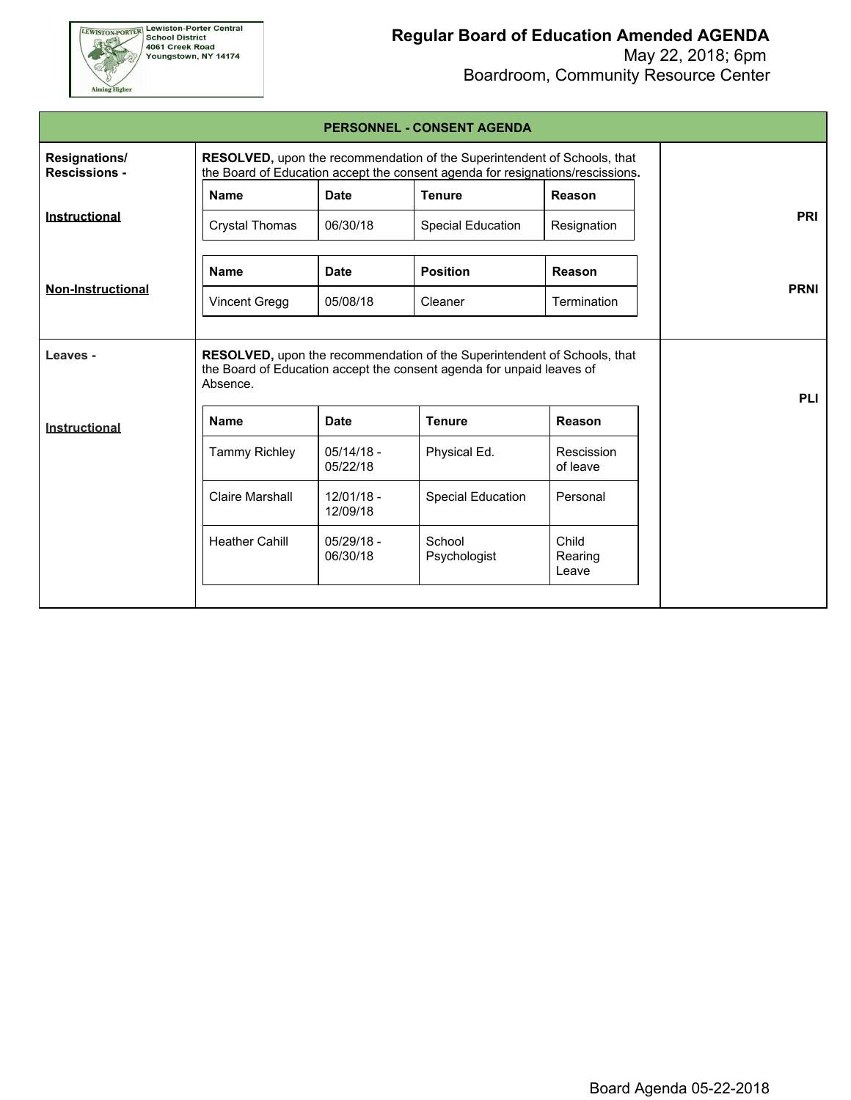

| <b>PERSONNEL - CONSENT AGENDA</b>     |                                                                                                                                                            |                          |                                                                                                                                                   |                           |             |  |  |  |  |
|---------------------------------------|------------------------------------------------------------------------------------------------------------------------------------------------------------|--------------------------|---------------------------------------------------------------------------------------------------------------------------------------------------|---------------------------|-------------|--|--|--|--|
| Resignations/<br><b>Rescissions -</b> | RESOLVED, upon the recommendation of the Superintendent of Schools, that<br>the Board of Education accept the consent agenda for resignations/rescissions. |                          |                                                                                                                                                   |                           |             |  |  |  |  |
|                                       | <b>Name</b>                                                                                                                                                | <b>Date</b>              | <b>Tenure</b>                                                                                                                                     | Reason                    |             |  |  |  |  |
| Instructional                         | <b>Crystal Thomas</b>                                                                                                                                      | 06/30/18                 | <b>Special Education</b>                                                                                                                          | Resignation               | <b>PRI</b>  |  |  |  |  |
|                                       | <b>Name</b>                                                                                                                                                | <b>Date</b>              | <b>Position</b>                                                                                                                                   | Reason                    |             |  |  |  |  |
| <b>Non-Instructional</b>              | <b>Vincent Gregg</b>                                                                                                                                       | 05/08/18                 | Cleaner                                                                                                                                           | Termination               | <b>PRNI</b> |  |  |  |  |
| Leaves -                              | Absence.                                                                                                                                                   |                          | RESOLVED, upon the recommendation of the Superintendent of Schools, that<br>the Board of Education accept the consent agenda for unpaid leaves of |                           | <b>PLI</b>  |  |  |  |  |
| Instructional                         | <b>Name</b>                                                                                                                                                | <b>Date</b>              | <b>Tenure</b>                                                                                                                                     | Reason                    |             |  |  |  |  |
|                                       | <b>Tammy Richley</b>                                                                                                                                       | $05/14/18 -$<br>05/22/18 | Physical Ed.                                                                                                                                      | Rescission<br>of leave    |             |  |  |  |  |
|                                       | Claire Marshall                                                                                                                                            | $12/01/18 -$<br>12/09/18 | <b>Special Education</b>                                                                                                                          | Personal                  |             |  |  |  |  |
|                                       | <b>Heather Cahill</b>                                                                                                                                      | $05/29/18 -$<br>06/30/18 | School<br>Psychologist                                                                                                                            | Child<br>Rearing<br>Leave |             |  |  |  |  |
|                                       |                                                                                                                                                            |                          |                                                                                                                                                   |                           |             |  |  |  |  |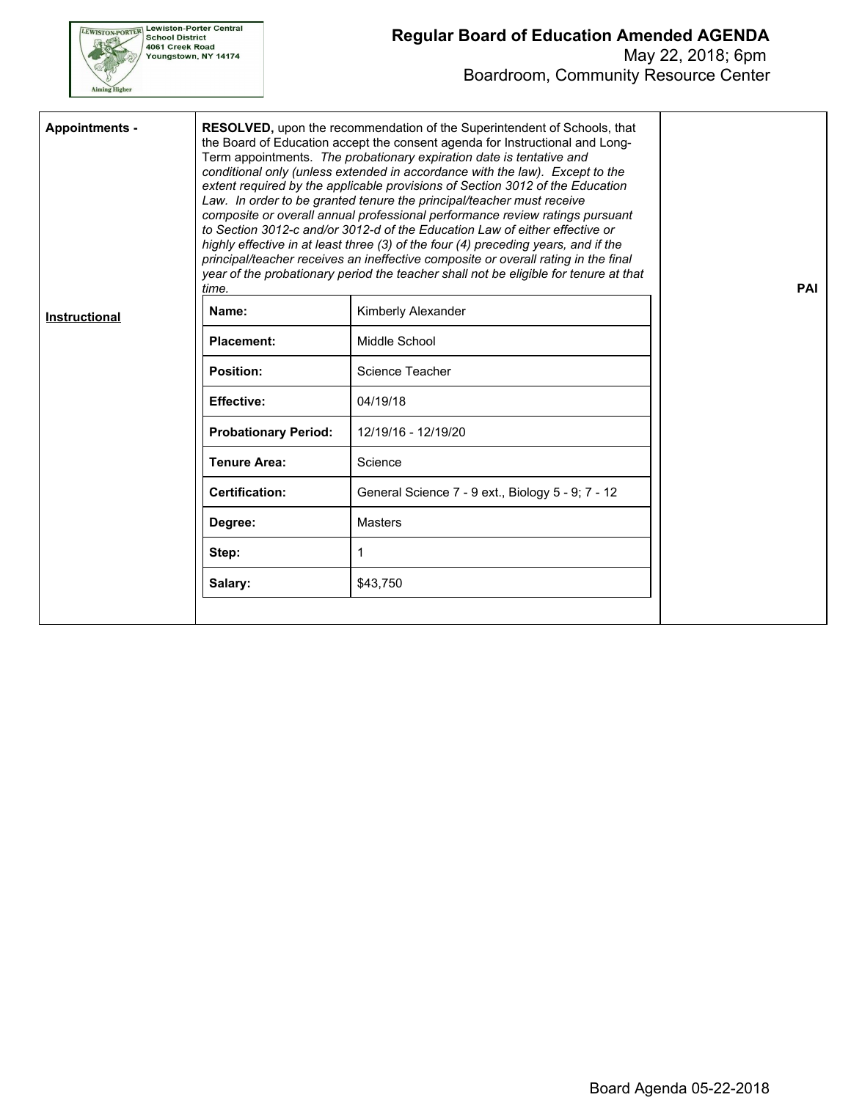

Г

#### **Regular Board of Education Amended AGENDA** May 22, 2018; 6pm

Boardroom, Community Resource Center

| <b>Appointments -</b> | time.                       | RESOLVED, upon the recommendation of the Superintendent of Schools, that<br>the Board of Education accept the consent agenda for Instructional and Long-<br>Term appointments. The probationary expiration date is tentative and<br>conditional only (unless extended in accordance with the law). Except to the<br>extent required by the applicable provisions of Section 3012 of the Education<br>Law. In order to be granted tenure the principal/teacher must receive<br>composite or overall annual professional performance review ratings pursuant<br>to Section 3012-c and/or 3012-d of the Education Law of either effective or<br>highly effective in at least three (3) of the four (4) preceding years, and if the<br>principal/teacher receives an ineffective composite or overall rating in the final<br>year of the probationary period the teacher shall not be eligible for tenure at that | PAI |  |  |  |  |
|-----------------------|-----------------------------|---------------------------------------------------------------------------------------------------------------------------------------------------------------------------------------------------------------------------------------------------------------------------------------------------------------------------------------------------------------------------------------------------------------------------------------------------------------------------------------------------------------------------------------------------------------------------------------------------------------------------------------------------------------------------------------------------------------------------------------------------------------------------------------------------------------------------------------------------------------------------------------------------------------|-----|--|--|--|--|
| Instructional         | Name:                       | Kimberly Alexander                                                                                                                                                                                                                                                                                                                                                                                                                                                                                                                                                                                                                                                                                                                                                                                                                                                                                            |     |  |  |  |  |
|                       | <b>Placement:</b>           | Middle School                                                                                                                                                                                                                                                                                                                                                                                                                                                                                                                                                                                                                                                                                                                                                                                                                                                                                                 |     |  |  |  |  |
|                       | <b>Position:</b>            | Science Teacher                                                                                                                                                                                                                                                                                                                                                                                                                                                                                                                                                                                                                                                                                                                                                                                                                                                                                               |     |  |  |  |  |
|                       | <b>Effective:</b>           | 04/19/18                                                                                                                                                                                                                                                                                                                                                                                                                                                                                                                                                                                                                                                                                                                                                                                                                                                                                                      |     |  |  |  |  |
|                       | <b>Probationary Period:</b> | 12/19/16 - 12/19/20                                                                                                                                                                                                                                                                                                                                                                                                                                                                                                                                                                                                                                                                                                                                                                                                                                                                                           |     |  |  |  |  |
|                       | <b>Tenure Area:</b>         | Science                                                                                                                                                                                                                                                                                                                                                                                                                                                                                                                                                                                                                                                                                                                                                                                                                                                                                                       |     |  |  |  |  |
|                       | <b>Certification:</b>       | General Science 7 - 9 ext., Biology 5 - 9; 7 - 12                                                                                                                                                                                                                                                                                                                                                                                                                                                                                                                                                                                                                                                                                                                                                                                                                                                             |     |  |  |  |  |
|                       | Degree:                     | <b>Masters</b>                                                                                                                                                                                                                                                                                                                                                                                                                                                                                                                                                                                                                                                                                                                                                                                                                                                                                                |     |  |  |  |  |
|                       | Step:                       | 1                                                                                                                                                                                                                                                                                                                                                                                                                                                                                                                                                                                                                                                                                                                                                                                                                                                                                                             |     |  |  |  |  |
|                       | Salary:<br>\$43,750         |                                                                                                                                                                                                                                                                                                                                                                                                                                                                                                                                                                                                                                                                                                                                                                                                                                                                                                               |     |  |  |  |  |
|                       |                             |                                                                                                                                                                                                                                                                                                                                                                                                                                                                                                                                                                                                                                                                                                                                                                                                                                                                                                               |     |  |  |  |  |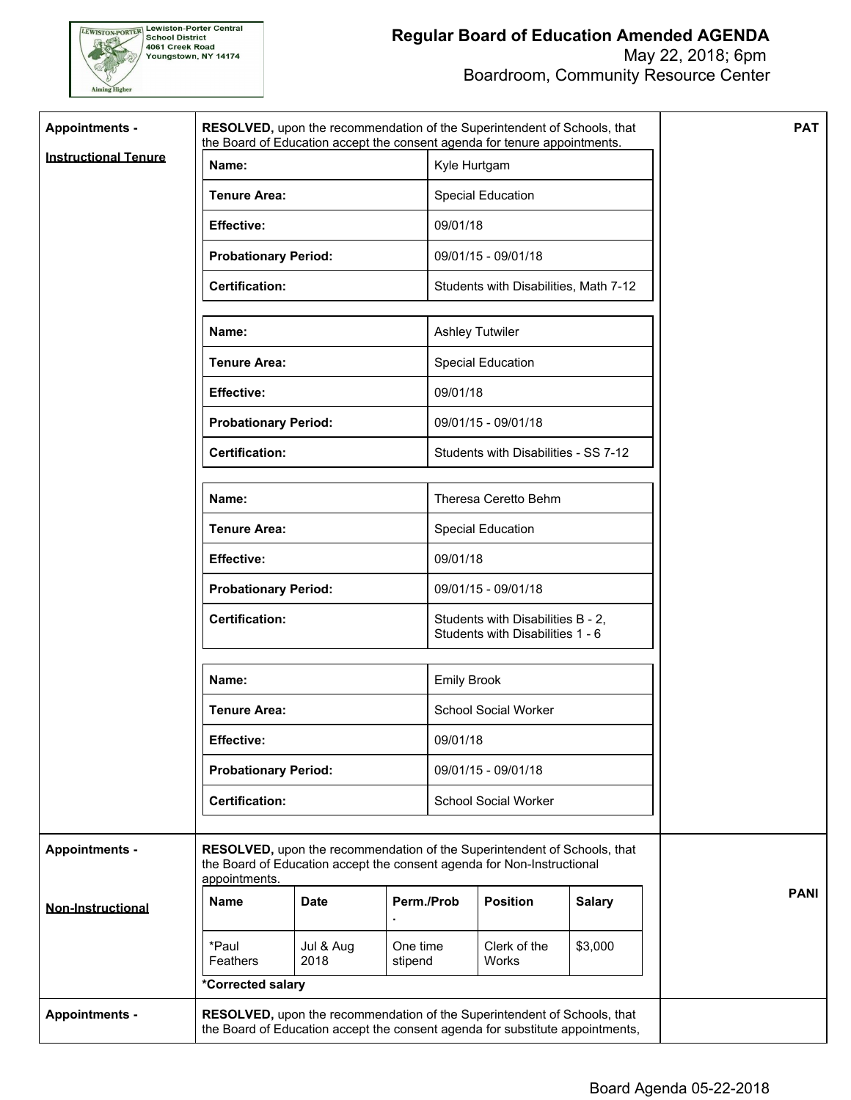

| <b>Appointments -</b>       | RESOLVED, upon the recommendation of the Superintendent of Schools, that<br>the Board of Education accept the consent agenda for tenure appointments.               |                             |                      |                                                       |                                                                       |               | <b>PAT</b>  |
|-----------------------------|---------------------------------------------------------------------------------------------------------------------------------------------------------------------|-----------------------------|----------------------|-------------------------------------------------------|-----------------------------------------------------------------------|---------------|-------------|
| <b>Instructional Tenure</b> | Name:                                                                                                                                                               |                             |                      | Kyle Hurtgam                                          |                                                                       |               |             |
|                             | <b>Tenure Area:</b>                                                                                                                                                 |                             |                      |                                                       | Special Education                                                     |               |             |
|                             | <b>Effective:</b>                                                                                                                                                   |                             |                      | 09/01/18                                              |                                                                       |               |             |
|                             | <b>Probationary Period:</b>                                                                                                                                         |                             |                      |                                                       | 09/01/15 - 09/01/18                                                   |               |             |
|                             | <b>Certification:</b>                                                                                                                                               |                             |                      |                                                       | Students with Disabilities, Math 7-12                                 |               |             |
|                             | Name:                                                                                                                                                               |                             |                      |                                                       | <b>Ashley Tutwiler</b>                                                |               |             |
|                             | <b>Tenure Area:</b>                                                                                                                                                 |                             |                      |                                                       | Special Education                                                     |               |             |
|                             | <b>Effective:</b>                                                                                                                                                   |                             |                      | 09/01/18                                              |                                                                       |               |             |
|                             | <b>Probationary Period:</b>                                                                                                                                         |                             |                      |                                                       | 09/01/15 - 09/01/18                                                   |               |             |
|                             | <b>Certification:</b>                                                                                                                                               |                             |                      | Students with Disabilities - SS 7-12                  |                                                                       |               |             |
|                             | Name:<br><b>Tenure Area:</b><br><b>Effective:</b>                                                                                                                   |                             |                      | Theresa Ceretto Behm<br>Special Education<br>09/01/18 |                                                                       |               |             |
|                             |                                                                                                                                                                     |                             |                      |                                                       |                                                                       |               |             |
|                             |                                                                                                                                                                     |                             |                      |                                                       |                                                                       |               |             |
|                             |                                                                                                                                                                     | <b>Probationary Period:</b> |                      | 09/01/15 - 09/01/18                                   |                                                                       |               |             |
|                             | <b>Certification:</b>                                                                                                                                               |                             |                      |                                                       | Students with Disabilities B - 2,<br>Students with Disabilities 1 - 6 |               |             |
|                             | Name:                                                                                                                                                               |                             |                      | <b>Emily Brook</b>                                    |                                                                       |               |             |
|                             | <b>Tenure Area:</b>                                                                                                                                                 |                             |                      |                                                       | <b>School Social Worker</b>                                           |               |             |
|                             | <b>Effective:</b>                                                                                                                                                   |                             |                      | 09/01/18                                              |                                                                       |               |             |
|                             | <b>Probationary Period:</b>                                                                                                                                         |                             |                      | 09/01/15 - 09/01/18                                   |                                                                       |               |             |
|                             | <b>Certification:</b>                                                                                                                                               |                             | School Social Worker |                                                       |                                                                       |               |             |
| <b>Appointments -</b>       | RESOLVED, upon the recommendation of the Superintendent of Schools, that<br>the Board of Education accept the consent agenda for Non-Instructional<br>appointments. |                             |                      |                                                       |                                                                       |               |             |
| <b>Non-Instructional</b>    | <b>Name</b>                                                                                                                                                         | <b>Date</b>                 | Perm./Prob           |                                                       | <b>Position</b>                                                       | <b>Salary</b> | <b>PANI</b> |
|                             | *Paul<br>Feathers                                                                                                                                                   | Jul & Aug<br>2018           | One time<br>stipend  |                                                       | Clerk of the<br>Works                                                 | \$3,000       |             |
|                             | *Corrected salary                                                                                                                                                   |                             |                      |                                                       |                                                                       |               |             |
| <b>Appointments -</b>       | RESOLVED, upon the recommendation of the Superintendent of Schools, that<br>the Board of Education accept the consent agenda for substitute appointments,           |                             |                      |                                                       |                                                                       |               |             |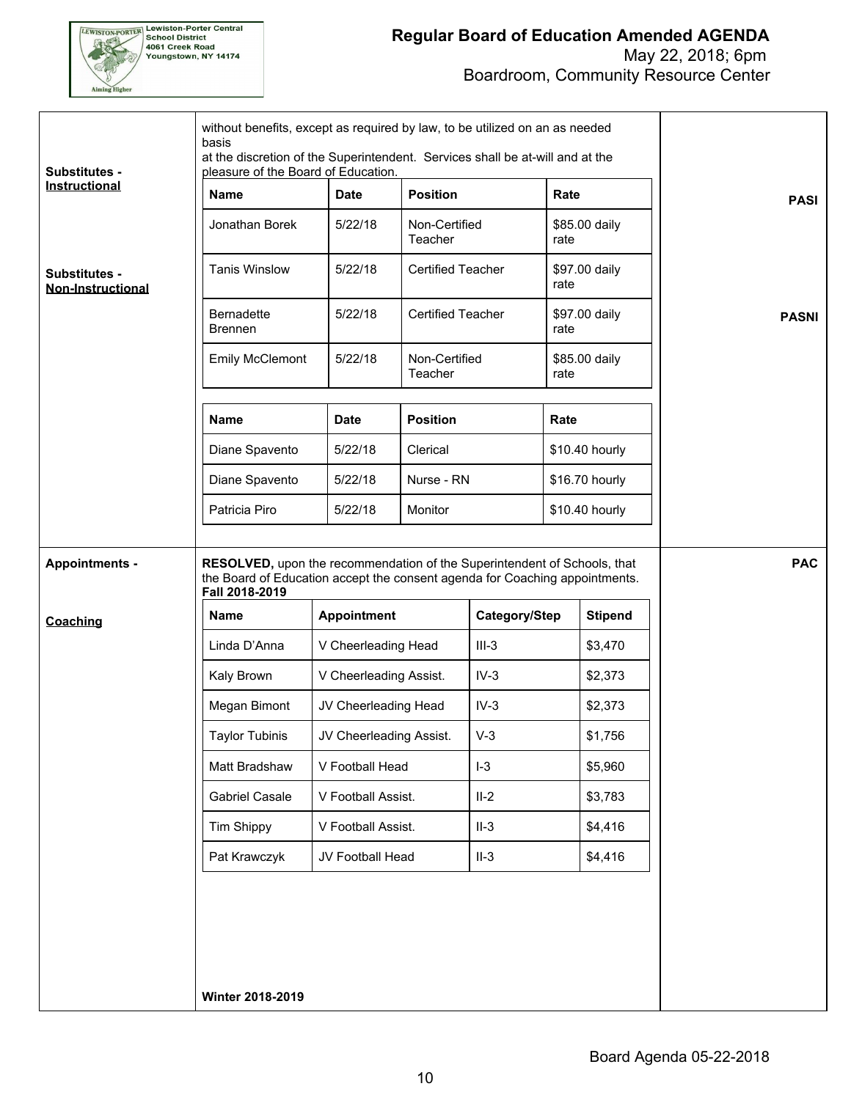

| Jonathan Borek<br><b>Tanis Winslow</b><br><b>Substitutes -</b><br><b>Non-Instructional</b><br><b>Bernadette</b><br><b>Brennen</b><br><b>Name</b><br>Diane Spavento<br>Diane Spavento<br>Patricia Piro<br>RESOLVED, upon the recommendation of the Superintendent of Schools, that<br><b>Appointments -</b> | <b>Emily McClemont</b> | 5/22/18<br>5/22/18<br>5/22/18<br>5/22/18<br><b>Date</b><br>5/22/18 | Non-Certified<br>Teacher<br><b>Certified Teacher</b><br><b>Certified Teacher</b><br>Non-Certified<br>Teacher<br><b>Position</b><br>Clerical |                                                                                              | \$85.00 daily<br>rate<br>\$97.00 daily<br>rate<br>\$97.00 daily<br>rate<br>\$85.00 daily<br>rate | <b>PASI</b><br><b>PASNI</b> |
|------------------------------------------------------------------------------------------------------------------------------------------------------------------------------------------------------------------------------------------------------------------------------------------------------------|------------------------|--------------------------------------------------------------------|---------------------------------------------------------------------------------------------------------------------------------------------|----------------------------------------------------------------------------------------------|--------------------------------------------------------------------------------------------------|-----------------------------|
|                                                                                                                                                                                                                                                                                                            |                        |                                                                    |                                                                                                                                             |                                                                                              |                                                                                                  |                             |
|                                                                                                                                                                                                                                                                                                            |                        |                                                                    |                                                                                                                                             |                                                                                              |                                                                                                  |                             |
|                                                                                                                                                                                                                                                                                                            |                        |                                                                    |                                                                                                                                             |                                                                                              |                                                                                                  |                             |
|                                                                                                                                                                                                                                                                                                            |                        |                                                                    |                                                                                                                                             |                                                                                              |                                                                                                  |                             |
|                                                                                                                                                                                                                                                                                                            |                        |                                                                    |                                                                                                                                             |                                                                                              | Rate                                                                                             |                             |
|                                                                                                                                                                                                                                                                                                            |                        |                                                                    |                                                                                                                                             |                                                                                              | \$10.40 hourly                                                                                   |                             |
|                                                                                                                                                                                                                                                                                                            |                        | 5/22/18                                                            | Nurse - RN                                                                                                                                  |                                                                                              | \$16.70 hourly                                                                                   |                             |
|                                                                                                                                                                                                                                                                                                            |                        | 5/22/18                                                            | Monitor                                                                                                                                     |                                                                                              | \$10.40 hourly                                                                                   |                             |
| Fall 2018-2019<br>Name                                                                                                                                                                                                                                                                                     |                        | <b>Appointment</b>                                                 |                                                                                                                                             | the Board of Education accept the consent agenda for Coaching appointments.<br>Category/Step | <b>Stipend</b>                                                                                   |                             |
| Coaching<br>Linda D'Anna                                                                                                                                                                                                                                                                                   |                        | V Cheerleading Head                                                |                                                                                                                                             | $III-3$                                                                                      | \$3,470                                                                                          |                             |
| Kaly Brown                                                                                                                                                                                                                                                                                                 |                        | V Cheerleading Assist.                                             |                                                                                                                                             | $IV-3$                                                                                       | \$2,373                                                                                          |                             |
| Megan Bimont                                                                                                                                                                                                                                                                                               |                        | JV Cheerleading Head                                               |                                                                                                                                             | $IV-3$                                                                                       | \$2,373                                                                                          |                             |
| <b>Taylor Tubinis</b>                                                                                                                                                                                                                                                                                      |                        | JV Cheerleading Assist.                                            |                                                                                                                                             | $V-3$                                                                                        | \$1,756                                                                                          |                             |
| Matt Bradshaw                                                                                                                                                                                                                                                                                              |                        | V Football Head                                                    |                                                                                                                                             | $I-3$                                                                                        | \$5,960                                                                                          |                             |
| Gabriel Casale                                                                                                                                                                                                                                                                                             |                        | V Football Assist.                                                 |                                                                                                                                             | $II-2$                                                                                       | \$3,783                                                                                          |                             |
| Tim Shippy                                                                                                                                                                                                                                                                                                 |                        | V Football Assist.                                                 |                                                                                                                                             | $II-3$                                                                                       | \$4,416                                                                                          |                             |
| Pat Krawczyk                                                                                                                                                                                                                                                                                               |                        | JV Football Head                                                   |                                                                                                                                             | $II-3$                                                                                       | \$4,416                                                                                          |                             |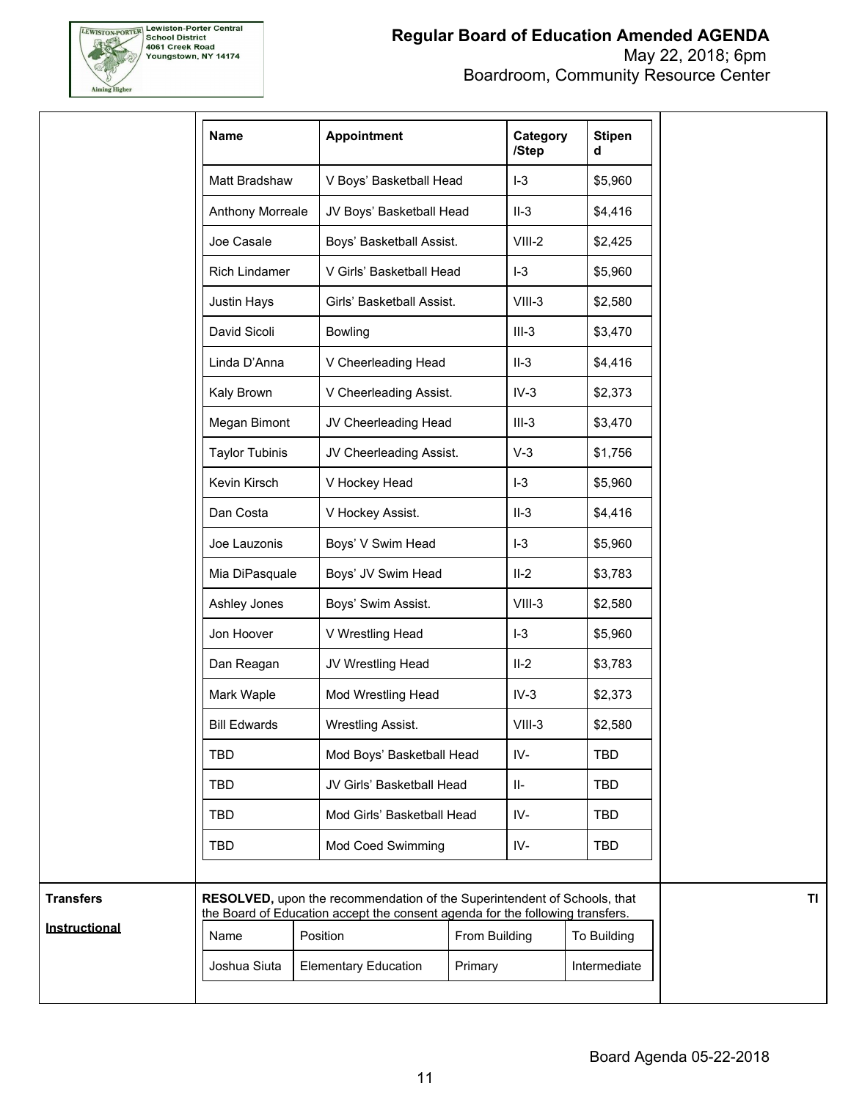

Boardroom, Community Resource Center

| <b>Name</b>           | <b>Appointment</b>                                                                                                                                        | /Step                                   |          | <b>Stipen</b><br>Category<br>d |
|-----------------------|-----------------------------------------------------------------------------------------------------------------------------------------------------------|-----------------------------------------|----------|--------------------------------|
| Matt Bradshaw         | V Boys' Basketball Head                                                                                                                                   |                                         | $I-3$    | \$5,960                        |
| Anthony Morreale      | JV Boys' Basketball Head                                                                                                                                  |                                         | $II-3$   | \$4,416                        |
| Joe Casale            | Boys' Basketball Assist.                                                                                                                                  |                                         | $VIII-2$ | \$2,425                        |
| Rich Lindamer         | V Girls' Basketball Head                                                                                                                                  |                                         | $I-3$    | \$5,960                        |
| Justin Hays           | Girls' Basketball Assist.                                                                                                                                 |                                         | $VIII-3$ | \$2,580                        |
| David Sicoli          | <b>Bowling</b>                                                                                                                                            |                                         | $III-3$  | \$3,470                        |
| Linda D'Anna          | V Cheerleading Head                                                                                                                                       |                                         | $II-3$   | \$4,416                        |
| Kaly Brown            | V Cheerleading Assist.                                                                                                                                    |                                         | $IV-3$   | \$2,373                        |
| Megan Bimont          | JV Cheerleading Head                                                                                                                                      |                                         | $III-3$  | \$3,470                        |
| <b>Taylor Tubinis</b> |                                                                                                                                                           | JV Cheerleading Assist.                 |          |                                |
| Kevin Kirsch          | V Hockey Head                                                                                                                                             |                                         | $I-3$    | \$5,960                        |
| Dan Costa             | V Hockey Assist.                                                                                                                                          |                                         | $II-3$   | \$4,416                        |
| Joe Lauzonis          | Boys' V Swim Head                                                                                                                                         |                                         | $I-3$    | \$5,960                        |
| Mia DiPasquale        |                                                                                                                                                           | Boys' JV Swim Head                      |          | \$3,783                        |
| Ashley Jones          | Boys' Swim Assist.                                                                                                                                        |                                         | $VIII-3$ | \$2,580                        |
| Jon Hoover            | V Wrestling Head                                                                                                                                          |                                         | $I-3$    | \$5,960                        |
| Dan Reagan            | JV Wrestling Head                                                                                                                                         | Mod Wrestling Head<br>Wrestling Assist. |          |                                |
| Mark Waple            |                                                                                                                                                           |                                         |          |                                |
| <b>Bill Edwards</b>   |                                                                                                                                                           |                                         |          |                                |
| <b>TBD</b>            | Mod Boys' Basketball Head                                                                                                                                 |                                         | IV-      | <b>TBD</b>                     |
| <b>TBD</b>            |                                                                                                                                                           | JV Girls' Basketball Head               |          | <b>TBD</b>                     |
| <b>TBD</b>            |                                                                                                                                                           | Mod Girls' Basketball Head              |          | <b>TBD</b>                     |
| <b>TBD</b>            | Mod Coed Swimming                                                                                                                                         |                                         | IV-      | <b>TBD</b>                     |
|                       | RESOLVED, upon the recommendation of the Superintendent of Schools, that<br>the Board of Education accept the consent agenda for the following transfers. |                                         |          |                                |
| Name                  | Position                                                                                                                                                  | From Building                           |          | To Building                    |
| Joshua Siuta          | <b>Elementary Education</b>                                                                                                                               | Primary                                 |          | Intermediate                   |

**TI**